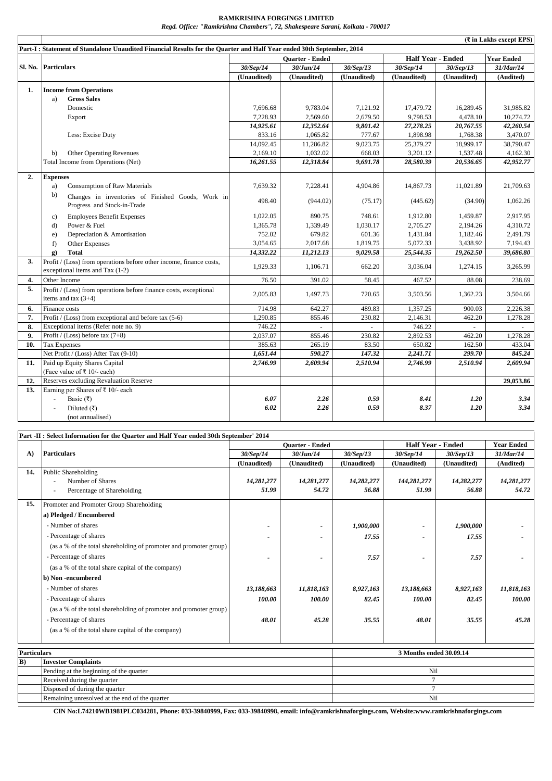## **RAMKRISHNA FORGINGS LIMITED**

*Regd. Office: "Ramkrishna Chambers", 72, Shakespeare Sarani, Kolkata - 700017*

|     |                                                                                                                      |                        |             |             |                          |             | $(\bar{\tau}$ in Lakhs except EPS) |
|-----|----------------------------------------------------------------------------------------------------------------------|------------------------|-------------|-------------|--------------------------|-------------|------------------------------------|
|     | Part-I: Statement of Standalone Unaudited Financial Results for the Quarter and Half Year ended 30th September, 2014 |                        |             |             |                          |             |                                    |
|     |                                                                                                                      | <b>Ouarter - Ended</b> |             |             | <b>Half Year - Ended</b> |             | <b>Year Ended</b>                  |
|     | Sl. No. Particulars                                                                                                  | 30/Sep/14              | 30/Jun/14   | 30/Sep/13   | 30/Sep/14                | 30/Sep/13   | 31/Mar/14                          |
|     |                                                                                                                      | (Unaudited)            | (Unaudited) | (Unaudited) | (Unaudited)              | (Unaudited) | (Audited)                          |
| 1.  | <b>Income from Operations</b>                                                                                        |                        |             |             |                          |             |                                    |
|     | <b>Gross Sales</b><br>a)                                                                                             |                        |             |             |                          |             |                                    |
|     | Domestic                                                                                                             | 7,696.68               | 9.783.04    | 7.121.92    | 17,479.72                | 16,289.45   | 31.985.82                          |
|     | Export                                                                                                               | 7,228.93               | 2,569.60    | 2,679.50    | 9,798.53                 | 4,478.10    | 10,274.72                          |
|     |                                                                                                                      | 14,925.61              | 12,352.64   | 9,801.42    | 27,278.25                | 20,767.55   | 42,260.54                          |
|     | Less: Excise Duty                                                                                                    | 833.16                 | 1,065.82    | 777.67      | 1,898.98                 | 1,768.38    | 3,470.07                           |
|     |                                                                                                                      | 14,092.45              | 11,286.82   | 9,023.75    | 25,379.27                | 18,999.17   | 38,790.47                          |
|     | <b>Other Operating Revenues</b><br>b)                                                                                | 2,169.10               | 1,032.02    | 668.03      | 3,201.12                 | 1,537.48    | 4,162.30                           |
|     | Total Income from Operations (Net)                                                                                   | 16,261.55              | 12,318.84   | 9,691.78    | 28,580.39                | 20,536.65   | 42,952.77                          |
|     |                                                                                                                      |                        |             |             |                          |             |                                    |
| 2.  | <b>Expenses</b>                                                                                                      |                        |             |             |                          |             |                                    |
|     | <b>Consumption of Raw Materials</b><br>a)                                                                            | 7,639.32               | 7,228.41    | 4,904.86    | 14,867.73                | 11,021.89   | 21,709.63                          |
|     | b)<br>Changes in inventories of Finished Goods, Work in                                                              | 498.40                 | (944.02)    | (75.17)     | (445.62)                 | (34.90)     | 1,062.26                           |
|     | Progress and Stock-in-Trade                                                                                          |                        |             |             |                          |             |                                    |
|     | <b>Employees Benefit Expenses</b><br>$\mathbf{c}$                                                                    | 1,022.05               | 890.75      | 748.61      | 1,912.80                 | 1.459.87    | 2,917.95                           |
|     | Power & Fuel<br>$d$ )                                                                                                | 1,365.78               | 1,339.49    | 1,030.17    | 2,705.27                 | 2.194.26    | 4.310.72                           |
|     | Depreciation & Amortisation<br>e)                                                                                    | 752.02                 | 679.82      | 601.36      | 1,431.84                 | 1,182.46    | 2,491.79                           |
|     | f)<br>Other Expenses                                                                                                 | 3,054.65               | 2,017.68    | 1,819.75    | 5,072.33                 | 3,438.92    | 7,194.43                           |
|     | g)<br><b>Total</b>                                                                                                   | 14,332.22              | 11,212.13   | 9,029.58    | 25,544.35                | 19,262.50   | 39,686.80                          |
| 3.  | Profit / (Loss) from operations before other income, finance costs,                                                  | 1,929.33               | 1,106.71    | 662.20      | 3,036.04                 | 1,274.15    | 3,265.99                           |
|     | exceptional items and Tax (1-2)                                                                                      |                        |             |             |                          |             |                                    |
| 4.  | Other Income                                                                                                         | 76.50                  | 391.02      | 58.45       | 467.52                   | 88.08       | 238.69                             |
| 5.  | Profit / (Loss) from operations before finance costs, exceptional                                                    | 2.005.83               | 1,497.73    | 720.65      | 3,503.56                 | 1,362.23    | 3,504.66                           |
|     | items and tax $(3+4)$                                                                                                |                        |             |             |                          |             |                                    |
| 6.  | Finance costs                                                                                                        | 714.98                 | 642.27      | 489.83      | 1,357.25                 | 900.03      | 2,226.38                           |
| 7.  | Profit / $(Loss)$ from exceptional and before tax (5-6)                                                              | 1,290.85               | 855.46      | 230.82      | 2,146.31                 | 462.20      | 1,278.28                           |
| 8.  | Exceptional items (Refer note no. 9)                                                                                 | 746.22                 | $\sim$      | ÷.          | 746.22                   | $\sim$      | $\sim$                             |
| 9.  | Profit / (Loss) before tax $(7+8)$                                                                                   | 2,037.07               | 855.46      | 230.82      | 2,892.53                 | 462.20      | 1,278.28                           |
| 10. | <b>Tax Expenses</b>                                                                                                  | 385.63                 | 265.19      | 83.50       | 650.82                   | 162.50      | 433.04                             |
|     | Net Profit / (Loss) After Tax (9-10)                                                                                 | 1,651.44               | 590.27      | 147.32      | 2,241.71                 | 299.70      | 845.24                             |
| 11. | Paid up Equity Shares Capital                                                                                        | 2,746.99               | 2,609.94    | 2,510.94    | 2,746.99                 | 2,510.94    | 2,609.94                           |
|     | (Face value of ₹ 10/- each)                                                                                          |                        |             |             |                          |             |                                    |
| 12. | Reserves excluding Revaluation Reserve                                                                               |                        |             |             |                          |             | 29,053.86                          |
| 13. | Earning per Shares of ₹ 10/- each                                                                                    |                        |             |             |                          |             |                                    |
|     | Basic (₹)<br>÷,                                                                                                      | 6.07                   | 2.26        | 0.59        | 8.41                     | 1.20        | 3.34                               |
|     | Diluted $(\bar{x})$                                                                                                  | 6.02                   | 2.26        | 0.59        | 8.37                     | 1.20        | 3.34                               |
|     | (not annualised)                                                                                                     |                        |             |             |                          |             |                                    |

|     | Part -II : Select Information for the Quarter and Half Year ended 30th September' 2014 |                        |             |             |                          |             |                   |
|-----|----------------------------------------------------------------------------------------|------------------------|-------------|-------------|--------------------------|-------------|-------------------|
|     |                                                                                        | <b>Ouarter - Ended</b> |             |             | <b>Half Year - Ended</b> |             | <b>Year Ended</b> |
| A)  | <b>Particulars</b>                                                                     | 30/Sep/14              | 30/Jun/14   | 30/Sep/13   | 30/Sep/14                | 30/Sep/13   | 31/Mar/14         |
|     |                                                                                        | (Unaudited)            | (Unaudited) | (Unaudited) | (Unaudited)              | (Unaudited) | (Audited)         |
| 14. | <b>Public Shareholding</b>                                                             |                        |             |             |                          |             |                   |
|     | Number of Shares                                                                       | 14,281,277             | 14,281,277  | 14,282,277  | 144,281,277              | 14,282,277  | 14,281,277        |
|     | Percentage of Shareholding<br>$\overline{\phantom{a}}$                                 | 51.99                  | 54.72       | 56.88       | 51.99                    | 56.88       | 54.72             |
| 15. | Promoter and Promoter Group Shareholding                                               |                        |             |             |                          |             |                   |
|     | a) Pledged / Encumbered                                                                |                        |             |             |                          |             |                   |
|     | - Number of shares                                                                     |                        |             | 1,900,000   |                          | 1,900,000   |                   |
|     | - Percentage of shares                                                                 |                        |             | 17.55       |                          | 17.55       |                   |
|     | (as a % of the total shareholding of promoter and promoter group)                      |                        |             |             |                          |             |                   |
|     | - Percentage of shares                                                                 |                        |             | 7.57        |                          | 7.57        |                   |
|     | (as a % of the total share capital of the company)                                     |                        |             |             |                          |             |                   |
|     | b) Non-encumbered                                                                      |                        |             |             |                          |             |                   |
|     | - Number of shares                                                                     | 13,188,663             | 11,818,163  | 8,927,163   | 13,188,663               | 8,927,163   | 11,818,163        |
|     | - Percentage of shares                                                                 | 100.00                 | 100.00      | 82.45       | 100.00                   | 82.45       | 100.00            |
|     | (as a % of the total shareholding of promoter and promoter group)                      |                        |             |             |                          |             |                   |
|     | - Percentage of shares                                                                 | 48.01                  | 45.28       | 35.55       | 48.01                    | 35.55       | 45.28             |
|     | (as a % of the total share capital of the company)                                     |                        |             |             |                          |             |                   |
|     |                                                                                        |                        |             |             |                          |             |                   |

| Particulars |                                                | 3 Months ended 30.09.14 |  |  |  |
|-------------|------------------------------------------------|-------------------------|--|--|--|
| B)          | <b>Investor Complaints</b>                     |                         |  |  |  |
|             | Pending at the beginning of the quarter        | Nil                     |  |  |  |
|             | Received during the quarter                    |                         |  |  |  |
|             | Disposed of during the quarter                 |                         |  |  |  |
|             | Remaining unresolved at the end of the quarter | Nil                     |  |  |  |

**CIN No:L74210WB1981PLC034281, Phone: 033-39840999, Fax: 033-39840998, email: info@ramkrishnaforgings.com, Website:www.ramkrishnaforgings.com**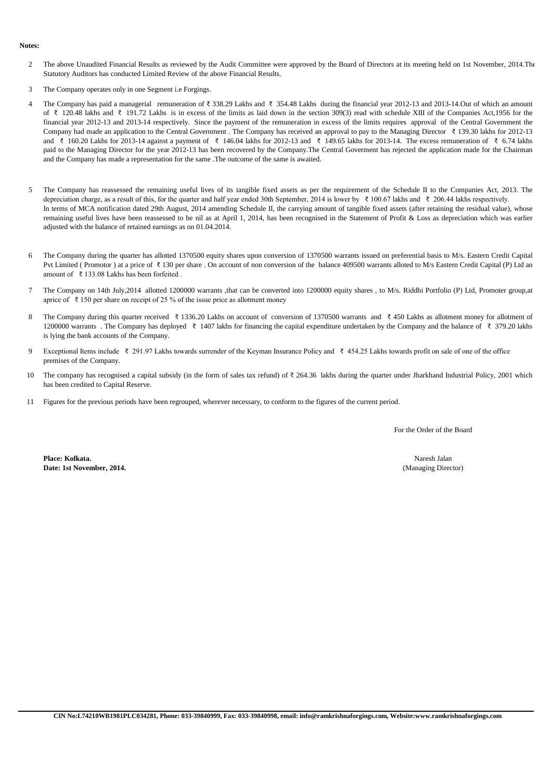## **Notes:**

- $\mathfrak{D}$ The above Unaudited Financial Results as reviewed by the Audit Committee were approved by the Board of Directors at its meeting held on 1st November, 2014.The Statutory Auditors has conducted Limited Review of the above Financial Results.
- 3 The Company operates only in one Segment i.e Forgings.
- 4 The Company has paid a managerial remuneration of ₹ 338.29 Lakhs and ₹ 354.48 Lakhs during the financial year 2012-13 and 2013-14.Out of which an amount of ₹ 120.48 lakhs and ₹ 191.72 Lakhs is in excess of the limits as laid down in the section 309(3) read with schedule XIII of the Companies Act,1956 for the financial year 2012-13 and 2013-14 respectively. Since the payment of the remuneration in excess of the limits requires approval of the Central Government the Company had made an application to the Central Government . The Company has received an approval to pay to the Managing Director ₹ 139.30 lakhs for 2012-13 and ₹ 160.20 Lakhs for 2013-14 against a payment of ₹ 146.04 lakhs for 2012-13 and ₹ 149.65 lakhs for 2013-14. The excess remuneration of ₹ 6.74 lakhs paid to the Managing Director for the year 2012-13 has been recovered by the Company.The Central Goverment has rejected the application made for the Chairman and the Company has made a representation for the same .The outcome of the same is awaited.
- 5 The Company has reassessed the remaining useful lives of its tangible fixed assets as per the requirement of the Schedule II to the Companies Act, 2013. The depreciation charge, as a result of this, for the quarter and half year ended 30th September, 2014 is lower by ₹ 100.67 lakhs and ₹ 206.44 lakhs respectively. In terms of MCA notification dated 29th August, 2014 amending Schedule II, the carrying amount of tangible fixed assets (after retaining the residual value), whose remaining useful lives have been reassessed to be nil as at April 1, 2014, has been recognised in the Statement of Profit & Loss as depreciation which was earlier adjusted with the balance of retained earnings as on 01.04.2014.
- 6 The Company during the quarter has allotted 1370500 equity shares upon conversion of 1370500 warrants issued on preferential basis to M/s. Eastern Credit Capital Pvt Limited (Promotor) at a price of ₹130 per share . On account of non conversion of the balance 409500 warrants alloted to M/s Eastern Credit Capital (P) Ltd an amount of ₹ 133.08 Lakhs has been forfeited .
- 7 The Company on 14th July,2014 allotted 1200000 warrants ,that can be converted into 1200000 equity shares , to M/s. Riddhi Portfolio (P) Ltd, Promoter group,at aprice of ₹ 150 per share on receipt of 25 % of the issue price as allotment money
- 8 The Company during this quarter received ₹ 1336.20 Lakhs on account of conversion of 1370500 warrants and ₹ 450 Lakhs as allotment money for allotment of 1200000 warrants . The Company has deployed ₹ 1407 lakhs for financing the capital expenditure undertaken by the Company and the balance of ₹ 379.20 lakhs is lying the bank accounts of the Company.
- 9 Exceptional Items include ₹ 291.97 Lakhs towards surrender of the Keyman Insurance Policy and ₹ 454.25 Lakhs towards profit on sale of one of the office premises of the Company.
- 10 The company has recognised a capital subsidy (in the form of sales tax refund) of  $\bar{\tau}$  264.36 lakhs during the quarter under Jharkhand Industrial Policy, 2001 which has been credited to Capital Reserve.
- 11 Figures for the previous periods have been regrouped, wherever necessary, to conform to the figures of the current period.

For the Order of the Board

**Place: Kolkata. Date: 1st November, 2014.**

Naresh Jalan (Managing Director)